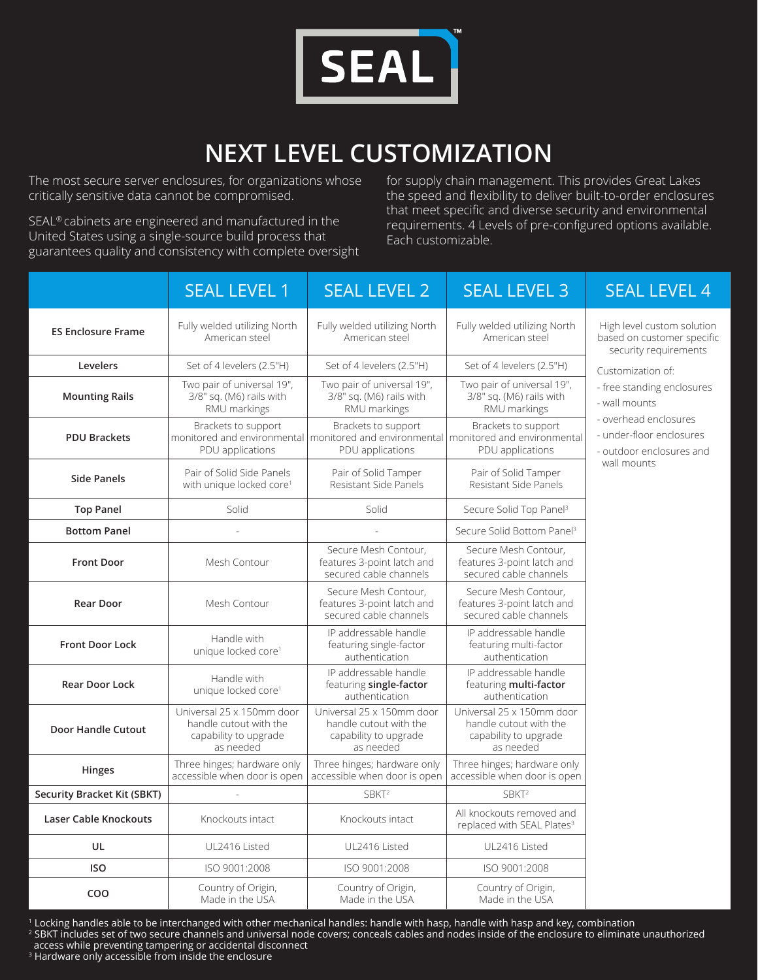

## **NEXT LEVEL CUSTOMIZATION**

The most secure server enclosures, for organizations whose critically sensitive data cannot be compromised.

SEAL® cabinets are engineered and manufactured in the United States using a single-source build process that guarantees quality and consistency with complete oversight for supply chain management. This provides Great Lakes the speed and flexibility to deliver built-to-order enclosures that meet specific and diverse security and environmental requirements. 4 Levels of pre-configured options available. Each customizable.

|                                    | <b>SEAL LEVEL 1</b>                                                                       | <b>SEAL LEVEL 2</b>                                                                                                            | <b>SEAL LEVEL 3</b>                                                                       | <b>SEAL LEVEL 4</b>                                                                                                                                              |
|------------------------------------|-------------------------------------------------------------------------------------------|--------------------------------------------------------------------------------------------------------------------------------|-------------------------------------------------------------------------------------------|------------------------------------------------------------------------------------------------------------------------------------------------------------------|
| <b>ES Enclosure Frame</b>          | Fully welded utilizing North<br>American steel                                            | Fully welded utilizing North<br>American steel                                                                                 | Fully welded utilizing North<br>American steel                                            | High level custom solution<br>based on customer specific<br>security requirements                                                                                |
| Levelers                           | Set of 4 levelers (2.5"H)                                                                 | Set of 4 levelers (2.5"H)                                                                                                      | Set of 4 levelers (2.5"H)                                                                 | Customization of:<br>- free standing enclosures<br>- wall mounts<br>- overhead enclosures<br>- under-floor enclosures<br>- outdoor enclosures and<br>wall mounts |
| <b>Mounting Rails</b>              | Two pair of universal 19",<br>3/8" sq. (M6) rails with<br>RMU markings                    | Two pair of universal 19",<br>3/8" sq. (M6) rails with<br>RMU markings                                                         | Two pair of universal 19",<br>3/8" sq. (M6) rails with<br>RMU markings                    |                                                                                                                                                                  |
| <b>PDU Brackets</b>                | Brackets to support<br>PDU applications                                                   | Brackets to support<br>monitored and environmental monitored and environmental monitored and environmental<br>PDU applications | Brackets to support<br>PDU applications                                                   |                                                                                                                                                                  |
| <b>Side Panels</b>                 | Pair of Solid Side Panels<br>with unique locked core <sup>1</sup>                         | Pair of Solid Tamper<br>Resistant Side Panels                                                                                  | Pair of Solid Tamper<br>Resistant Side Panels                                             |                                                                                                                                                                  |
| <b>Top Panel</b>                   | Solid                                                                                     | Solid                                                                                                                          | Secure Solid Top Panel <sup>3</sup>                                                       |                                                                                                                                                                  |
| <b>Bottom Panel</b>                |                                                                                           |                                                                                                                                | Secure Solid Bottom Panel <sup>3</sup>                                                    |                                                                                                                                                                  |
| <b>Front Door</b>                  | Mesh Contour                                                                              | Secure Mesh Contour,<br>features 3-point latch and<br>secured cable channels                                                   | Secure Mesh Contour,<br>features 3-point latch and<br>secured cable channels              |                                                                                                                                                                  |
| <b>Rear Door</b>                   | Mesh Contour                                                                              | Secure Mesh Contour,<br>features 3-point latch and<br>secured cable channels                                                   | Secure Mesh Contour,<br>features 3-point latch and<br>secured cable channels              |                                                                                                                                                                  |
| <b>Front Door Lock</b>             | Handle with<br>unique locked core <sup>1</sup>                                            | IP addressable handle<br>featuring single-factor<br>authentication                                                             | IP addressable handle<br>featuring multi-factor<br>authentication                         |                                                                                                                                                                  |
| <b>Rear Door Lock</b>              | Handle with<br>unique locked core <sup>1</sup>                                            | IP addressable handle<br>featuring single-factor<br>authentication                                                             | IP addressable handle<br>featuring multi-factor<br>authentication                         |                                                                                                                                                                  |
| <b>Door Handle Cutout</b>          | Universal 25 x 150mm door<br>handle cutout with the<br>capability to upgrade<br>as needed | Universal 25 x 150mm door<br>handle cutout with the<br>capability to upgrade<br>as needed                                      | Universal 25 x 150mm door<br>handle cutout with the<br>capability to upgrade<br>as needed |                                                                                                                                                                  |
| Hinges                             | Three hinges; hardware only<br>accessible when door is open                               | Three hinges; hardware only<br>accessible when door is open                                                                    | Three hinges; hardware only<br>accessible when door is open                               |                                                                                                                                                                  |
| <b>Security Bracket Kit (SBKT)</b> |                                                                                           | SBKT <sup>2</sup>                                                                                                              | SBKT <sup>2</sup>                                                                         |                                                                                                                                                                  |
| <b>Laser Cable Knockouts</b>       | Knockouts intact                                                                          | Knockouts intact                                                                                                               | All knockouts removed and<br>replaced with SEAL Plates <sup>3</sup>                       |                                                                                                                                                                  |
| UL                                 | UL2416 Listed                                                                             | UL2416 Listed                                                                                                                  | UL2416 Listed                                                                             |                                                                                                                                                                  |
| <b>ISO</b>                         | ISO 9001:2008                                                                             | ISO 9001:2008                                                                                                                  | ISO 9001:2008                                                                             |                                                                                                                                                                  |
| COO                                | Country of Origin,<br>Made in the USA                                                     | Country of Origin,<br>Made in the USA                                                                                          | Country of Origin,<br>Made in the USA                                                     |                                                                                                                                                                  |

1 Locking handles able to be interchanged with other mechanical handles: handle with hasp, handle with hasp and key, combination <sup>2</sup> SBKT includes set of two secure channels and universal node covers; conceals cables and nodes inside of the enclosure to eliminate unauthorized access while preventing tampering or accidental disconnect

<sup>3</sup> Hardware only accessible from inside the enclosure